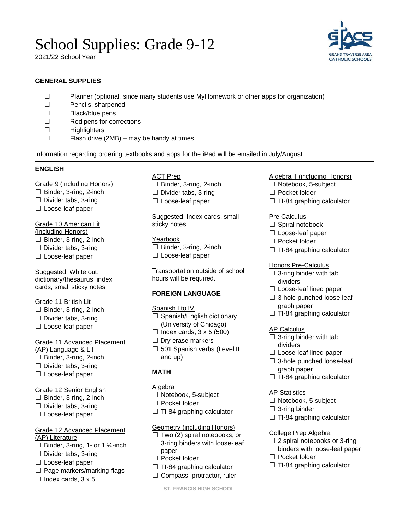# School Supplies: Grade 9-12

2021/22 School Year

# **GENERAL SUPPLIES**

- ☐ Planner (optional, since many students use MyHomework or other apps for organization)
- ☐ Pencils, sharpened
- ☐ Black/blue pens
- ☐ Red pens for corrections
- ☐ Highlighters
- ☐ Flash drive (2MB) may be handy at times

Information regarding ordering textbooks and apps for the iPad will be emailed in July/August

#### **ENGLISH**

Grade 9 (including Honors)

- $\Box$  Binder, 3-ring, 2-inch
- ☐ Divider tabs, 3-ring
- ☐ Loose-leaf paper

# Grade 10 American Lit

- (including Honors)
- ☐ Binder, 3-ring, 2-inch
- $\Box$  Divider tabs, 3-ring
- ☐ Loose-leaf paper

Suggested: White out, dictionary/thesaurus, index cards, small sticky notes

# Grade 11 British Lit

- $\Box$  Binder, 3-ring, 2-inch
- ☐ Divider tabs, 3-ring
- ☐ Loose-leaf paper

# Grade 11 Advanced Placement

- (AP) Language & Lit
- ☐ Binder, 3-ring, 2-inch ☐ Divider tabs, 3-ring
- 

# ☐ Loose-leaf paper

# Grade 12 Senior English

- $\Box$  Binder, 3-ring, 2-inch
- $\Box$  Divider tabs, 3-ring
- ☐ Loose-leaf paper

#### Grade 12 Advanced Placement (AP) Literature

- $\Box$  Binder, 3-ring, 1- or 1 ½-inch
- ☐ Divider tabs, 3-ring
- ☐ Loose-leaf paper
- $\Box$  Page markers/marking flags
- $\Box$  Index cards, 3 x 5

# ACT Prep

- ☐ Binder, 3-ring, 2-inch
- $\Box$  Divider tabs, 3-ring
- ☐ Loose-leaf paper

Suggested: Index cards, small sticky notes

#### Yearbook □ Binder, 3-ring, 2-inch ☐ Loose-leaf paper

Transportation outside of school hours will be required.

# **FOREIGN LANGUAGE**

#### Spanish I to IV

- □ Spanish/English dictionary (University of Chicago)
- $\Box$  Index cards,  $3 \times 5$  (500)
- □ Dry erase markers
- □ 501 Spanish verbs (Level II and up)

# **MATH**

# Algebra I

- ☐ Notebook, 5-subject
- ☐ Pocket folder
- $\Box$  TI-84 graphing calculator

# Geometry (including Honors)

- $\Box$  Two (2) spiral notebooks, or 3-ring binders with loose-leaf paper
- ☐ Pocket folder
- $\Box$  TI-84 graphing calculator
- □ Compass, protractor, ruler

#### **ST. FRANCIS HIGH SCHOOL**

# Algebra II (including Honors)

- ☐ Notebook, 5-subject
- ☐ Pocket folder
- $\Box$  TI-84 graphing calculator

#### Pre-Calculus

- □ Spiral notebook
- ☐ Loose-leaf paper
- ☐ Pocket folder
- $\Box$  TI-84 graphing calculator

# Honors Pre-Calculus

- $\Box$  3-ring binder with tab dividers
- ☐ Loose-leaf lined paper
- ☐ 3-hole punched loose-leaf graph paper
- $\Box$  TI-84 graphing calculator

# **AP Calculus**

- $\Box$  3-ring binder with tab dividers
- ☐ Loose-leaf lined paper
- ☐ 3-hole punched loose-leaf graph paper
- $\Box$  TI-84 graphing calculator

#### AP Statistics

- ☐ Notebook, 5-subject
- $\Box$  3-ring binder
- $\Box$  TI-84 graphing calculator

#### College Prep Algebra

- $\Box$  2 spiral notebooks or 3-ring binders with loose-leaf paper
- ☐ Pocket folder
- $\Box$  TI-84 graphing calculator